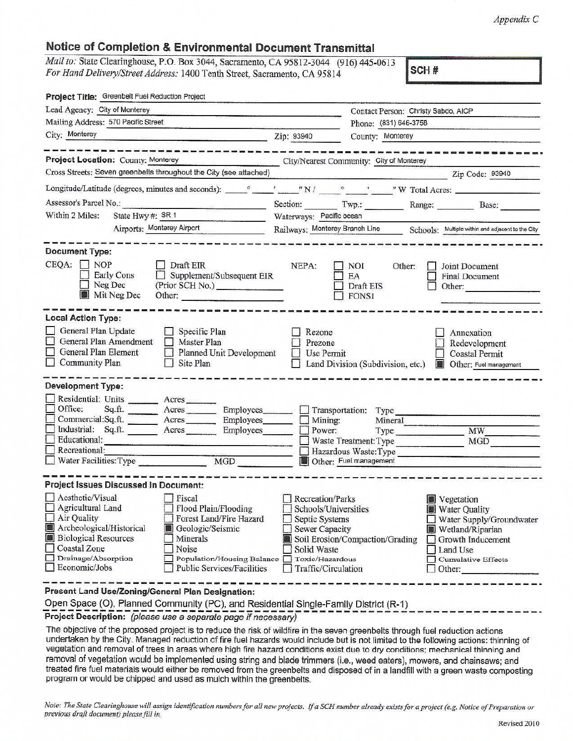*Appendix C* 

# **Notice of Completion & Environmental Document Transmittal**

| 2013 10: State Clearinghouse, P.O. Box 3044, Sacramento, CA 93812-5044 (910) 445-0012 |  |
|---------------------------------------------------------------------------------------|--|
| For Hand Delivery/Street Address: 1400 Tenth Street, Sacramento, CA 95814             |  |

| Project Title: Greenbelt Fuel Reduction Project                                                                                                                                                                                                                         |                                          |                                                                                     |                                                                                                                                                                                                                                      |                                                                                                                                                                                                                                                                           |
|-------------------------------------------------------------------------------------------------------------------------------------------------------------------------------------------------------------------------------------------------------------------------|------------------------------------------|-------------------------------------------------------------------------------------|--------------------------------------------------------------------------------------------------------------------------------------------------------------------------------------------------------------------------------------|---------------------------------------------------------------------------------------------------------------------------------------------------------------------------------------------------------------------------------------------------------------------------|
| Lead Agency: City of Monterey                                                                                                                                                                                                                                           |                                          |                                                                                     | Contact Person: Christy Sabdo, AICP                                                                                                                                                                                                  |                                                                                                                                                                                                                                                                           |
| Mailing Address: 570 Pacific Street                                                                                                                                                                                                                                     |                                          |                                                                                     | Phone: (831) 646-3758                                                                                                                                                                                                                |                                                                                                                                                                                                                                                                           |
| City; Monterey<br><u> 1999 - Andreas Maria (m. 1988)</u>                                                                                                                                                                                                                | Zip: 93940                               |                                                                                     | County: Monterey                                                                                                                                                                                                                     |                                                                                                                                                                                                                                                                           |
|                                                                                                                                                                                                                                                                         |                                          |                                                                                     |                                                                                                                                                                                                                                      |                                                                                                                                                                                                                                                                           |
| Project Location: County: Monterey                                                                                                                                                                                                                                      | City/Nearest Community: City of Monterey |                                                                                     |                                                                                                                                                                                                                                      |                                                                                                                                                                                                                                                                           |
| Cross Streets: Seven greenbelts throughout the City (see attached)                                                                                                                                                                                                      |                                          |                                                                                     | <u>in participation of the company of the company of the company of the company of the company of the company of the company of the company of the company of the company of the company of the company of the company of the co</u> | Zip Code: 93940                                                                                                                                                                                                                                                           |
| Longitude/Latitude (degrees, minutes and seconds): vertical values of the contract of the condition of the condition of the condition of the condition of the condition of the condition of the condition of the condition of                                           |                                          |                                                                                     |                                                                                                                                                                                                                                      |                                                                                                                                                                                                                                                                           |
| Assessor's Parcel No.:                                                                                                                                                                                                                                                  |                                          |                                                                                     |                                                                                                                                                                                                                                      | Section: Twp.: Range: Base:                                                                                                                                                                                                                                               |
| State Hwy #: SR 1<br>Within 2 Miles:                                                                                                                                                                                                                                    | Waterways: Pacific ocean                 |                                                                                     |                                                                                                                                                                                                                                      |                                                                                                                                                                                                                                                                           |
| Airports: Monterey Airport                                                                                                                                                                                                                                              | Railways: Monterey Branch Line           |                                                                                     |                                                                                                                                                                                                                                      | Schools: Multiple within and adjacent to the City                                                                                                                                                                                                                         |
| <b>Document Type:</b>                                                                                                                                                                                                                                                   |                                          |                                                                                     |                                                                                                                                                                                                                                      |                                                                                                                                                                                                                                                                           |
| $CEQA: \Box NOP$<br>Draft EIR<br>$\Box$ Supplement/Subsequent EIR<br>Early Cons<br>Neg Dec<br>(Prior SCH No.)<br>Mit Neg Dec<br>Other:                                                                                                                                  | NEPA:                                    | <b>NOI</b><br>EA<br>Draft EIS<br><b>FONSI</b>                                       | Other:                                                                                                                                                                                                                               | Joint Document<br><b>Final Document</b><br>Other: and the contract of the contract of the contract of the contract of the contract of the contract of the contract of the contract of the contract of the contract of the contract of the contract of the contract of the |
| <b>Local Action Type:</b>                                                                                                                                                                                                                                               |                                          |                                                                                     |                                                                                                                                                                                                                                      |                                                                                                                                                                                                                                                                           |
| General Plan Update<br>Specific Plan<br>General Plan Amendment<br>Master Plan<br>General Plan Element<br><b>Planned Unit Development</b><br>$\Box$ Community Plan<br>Site Plan                                                                                          | Rezone<br>Prezone<br>Use Permit          |                                                                                     | Land Division (Subdivision, etc.)                                                                                                                                                                                                    | Annexation<br>Redevelopment<br><b>Coastal Permit</b><br>Other: Fuel management                                                                                                                                                                                            |
| <b>Development Type:</b>                                                                                                                                                                                                                                                |                                          |                                                                                     |                                                                                                                                                                                                                                      |                                                                                                                                                                                                                                                                           |
| Residential: Units _______ Acres                                                                                                                                                                                                                                        |                                          |                                                                                     |                                                                                                                                                                                                                                      |                                                                                                                                                                                                                                                                           |
| Office:<br>Sq.ft. ________ Acres ________ Employees_______                                                                                                                                                                                                              |                                          | Transportation: Type                                                                |                                                                                                                                                                                                                                      |                                                                                                                                                                                                                                                                           |
| Commercial:Sq.ft. _________ Acres __________ Employees ________                                                                                                                                                                                                         | $\Box$                                   | Mining:                                                                             | Mineral                                                                                                                                                                                                                              |                                                                                                                                                                                                                                                                           |
| Industrial: Sq.ft. _______ Acres _______<br>Employees<br>Educational:                                                                                                                                                                                                   | Power:                                   | Waste Treatment: Type                                                               | Type                                                                                                                                                                                                                                 | MW<br>MGD                                                                                                                                                                                                                                                                 |
| Recreational:                                                                                                                                                                                                                                                           |                                          |                                                                                     | Hazardous Waste: Type                                                                                                                                                                                                                |                                                                                                                                                                                                                                                                           |
| Water Facilities: Type<br>MGD                                                                                                                                                                                                                                           |                                          | Other: Fuel management                                                              |                                                                                                                                                                                                                                      |                                                                                                                                                                                                                                                                           |
|                                                                                                                                                                                                                                                                         |                                          |                                                                                     |                                                                                                                                                                                                                                      |                                                                                                                                                                                                                                                                           |
| <b>Project Issues Discussed in Document:</b>                                                                                                                                                                                                                            |                                          |                                                                                     |                                                                                                                                                                                                                                      |                                                                                                                                                                                                                                                                           |
| Aesthetic/Visual<br>Fiscal<br>$\Box$ Flood Plain/Flooding<br>$\Box$ Agricultural Land                                                                                                                                                                                   | Recreation/Parks                         |                                                                                     |                                                                                                                                                                                                                                      | <b>Vegetation</b>                                                                                                                                                                                                                                                         |
| Air Quality<br>Forest Land/Fire Hazard                                                                                                                                                                                                                                  |                                          | Schools/Universities<br>Water Quality<br>Septic Systems<br>Water Supply/Groundwater |                                                                                                                                                                                                                                      |                                                                                                                                                                                                                                                                           |
| Archeological/Historical<br>Geologic/Seismic                                                                                                                                                                                                                            | Sewer Capacity                           |                                                                                     |                                                                                                                                                                                                                                      | Wetland/Riparian                                                                                                                                                                                                                                                          |
| <b>Biological Resources</b><br>圈<br>Minerals                                                                                                                                                                                                                            |                                          | Soil Erosion/Compaction/Grading                                                     |                                                                                                                                                                                                                                      | Growth Inducement                                                                                                                                                                                                                                                         |
| <b>Coastal Zone</b><br>Noise                                                                                                                                                                                                                                            | Solid Waste                              |                                                                                     |                                                                                                                                                                                                                                      | Land Use                                                                                                                                                                                                                                                                  |
| Drainage/Absorption<br>Population/Housing Balance<br>$\Box$ Economic/Jobs<br><b>Public Services/Facilities</b>                                                                                                                                                          | Toxic/Hazardous<br>Traffic/Circulation   |                                                                                     |                                                                                                                                                                                                                                      | Cumulative Effects<br>Other:                                                                                                                                                                                                                                              |
|                                                                                                                                                                                                                                                                         |                                          |                                                                                     |                                                                                                                                                                                                                                      |                                                                                                                                                                                                                                                                           |
| Present Land Use/Zoning/General Plan Designation:                                                                                                                                                                                                                       |                                          |                                                                                     |                                                                                                                                                                                                                                      |                                                                                                                                                                                                                                                                           |
| Open Space (O), Planned Community (PC), and Residential Single-Family District (R-1)                                                                                                                                                                                    |                                          |                                                                                     |                                                                                                                                                                                                                                      |                                                                                                                                                                                                                                                                           |
| Project Description: (please use a separate page if necessary)                                                                                                                                                                                                          |                                          |                                                                                     |                                                                                                                                                                                                                                      |                                                                                                                                                                                                                                                                           |
| The objective of the proposed project is to reduce the risk of wildfire in the seven greenbelts through fuel reduction actions<br>undertaken by the City. Managed reduction of fire fuel hazards would include but is not limited to the following actions: thinning of |                                          |                                                                                     |                                                                                                                                                                                                                                      |                                                                                                                                                                                                                                                                           |

vegetation and removal of trees in areas where high fire hazard conditions exist due to dry conditions; mechanical thinning and removal of vegetation would be implemented using string and blade trimmers (i.e., weed eaters), mowers, and chainsaws; and treated fire fuel materials would either be removed from the greenbelts and disposed of in a landfill with a green waste composting program or would be chipped and used as mulch within the greenbelts.

*Note: The State Clearinghouse will assign identification numbers for all new projects. If a SCH number already exists for a project (e.g. Notice of Preparation or previous dra/i document) please* Jill *in.*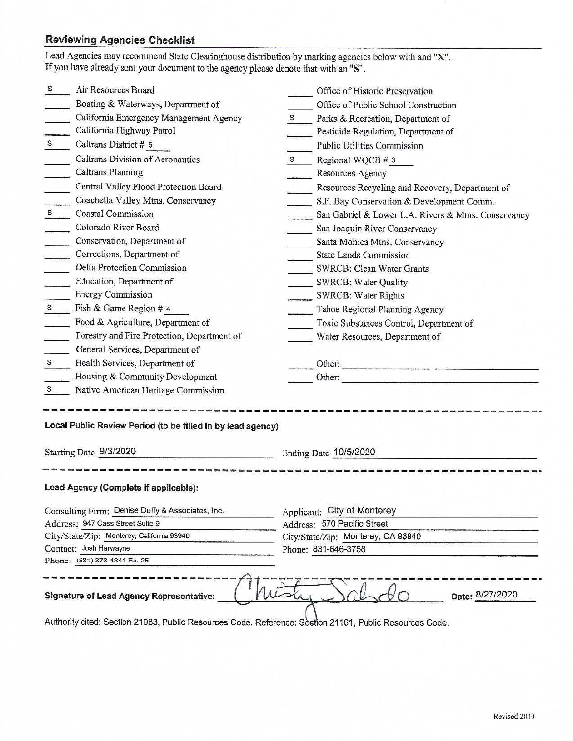# **Reviewing Agencies Checklist**

|             | Air Resources Board                                                                   |              | Office of Historic Preservation                                                                                                  |
|-------------|---------------------------------------------------------------------------------------|--------------|----------------------------------------------------------------------------------------------------------------------------------|
|             | Boating & Waterways, Department of                                                    |              | Office of Public School Construction                                                                                             |
|             | California Emergency Management Agency                                                | S            | Parks & Recreation, Department of                                                                                                |
|             | California Highway Patrol                                                             |              | Pesticide Regulation, Department of                                                                                              |
| S           | Caltrans District # 5                                                                 |              | Public Utilities Commission                                                                                                      |
|             | Caltrans Division of Aeronautics                                                      | $\mathbf{s}$ | Regional WQCB # 3                                                                                                                |
|             | Caltrans Planning                                                                     |              | <b>Resources Agency</b>                                                                                                          |
|             | Central Valley Flood Protection Board                                                 |              | Resources Recycling and Recovery, Department of                                                                                  |
|             | Coachella Valley Mtns. Conservancy                                                    |              | S.F. Bay Conservation & Development Comm.                                                                                        |
|             | $\mathbf{s}$<br><b>Coastal Commission</b>                                             |              | San Gabriel & Lower L.A. Rivers & Mtns. Conservancy                                                                              |
|             | Colorado River Board                                                                  |              | San Joaquin River Conservancy                                                                                                    |
|             | Conservation, Department of                                                           |              | Santa Monica Mtns. Conservancy                                                                                                   |
|             | Corrections, Department of                                                            |              | <b>State Lands Commission</b>                                                                                                    |
|             | Delta Protection Commission                                                           |              | <b>SWRCB: Clean Water Grants</b>                                                                                                 |
|             | Education, Department of                                                              |              | <b>SWRCB: Water Quality</b>                                                                                                      |
|             | <b>Energy Commission</b>                                                              |              | <b>SWRCB: Water Rights</b>                                                                                                       |
| S           | Fish & Game Region # 4                                                                |              | Tahoe Regional Planning Agency                                                                                                   |
|             | Food & Agriculture, Department of                                                     |              | Toxic Substances Control, Department of                                                                                          |
|             | Forestry and Fire Protection, Department of                                           |              | Water Resources, Department of                                                                                                   |
|             | General Services, Department of                                                       |              |                                                                                                                                  |
| $S_{\perp}$ | Health Services, Department of                                                        |              | Other:                                                                                                                           |
|             | Housing & Community Development                                                       |              | Other:<br><u> La componente de la componente de la componente de la componente de la componente de la componente de la compo</u> |
| s           | Native American Heritage Commission                                                   |              |                                                                                                                                  |
|             | Local Public Review Period (to be filled in by lead agency)<br>Starting Date 9/3/2020 |              |                                                                                                                                  |
|             |                                                                                       |              | Ending Date 10/5/2020                                                                                                            |
|             |                                                                                       |              |                                                                                                                                  |
|             | Lead Agency (Complete if applicable):                                                 |              |                                                                                                                                  |
|             | Consulting Firm: Denise Duffy & Associates, Inc.                                      |              | Applicant: City of Monterey                                                                                                      |
|             | Address: 947 Cass Street Suite 9                                                      |              | Address: 570 Pacific Street                                                                                                      |
|             | City/State/Zip: Monterey, California 93940                                            |              | City/State/Zip: Monterey, CA 93940                                                                                               |
|             | Contact: Josh Harwayne                                                                |              | Phone: 831-646-3758                                                                                                              |
|             | Phone: (831) 373-4341 Ex. 25                                                          |              |                                                                                                                                  |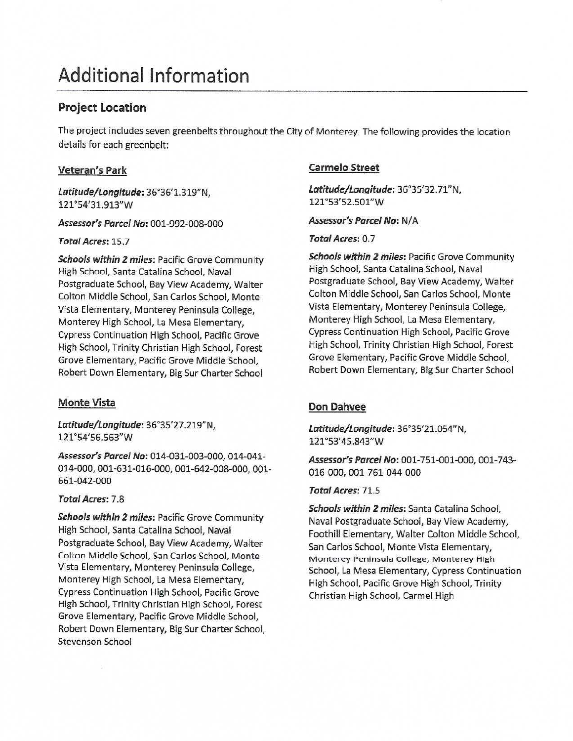# Additional Information

# **Project Location**

The project includes seven greenbelts throughout the City of Monterey. The following provides the location details for each greenbelt:

## **Veteran's Park**

*Latitude/Longitude:* 36°36'1.319"N, 121 °54'31.913"W

*Assessor's Parcel* **No:** 001-992-008-000

*Total Acres:* 15.7

*Schools within* **2** *miles:* Pacific Grove Community High School, Santa Catalina School, Naval Postgraduate School, Bay View Academy, Walter Colton Middle School, San Carlos School, Monte Vista Elementary, Monterey Peninsula College, Monterey High School, La Mesa Elementary, Cypress Continuation High School, Pacific Grove High School, Trinity Christian High School, Forest Grove Elementary, Pacific Grove Middle School, Robert Down Elementary, Big Sur Charter School

# **Monte Vista**

*Latitude/Longitude:* 36°35'27 .219" N, 121 °54'56.563"W

**Assessor's** *Parcel* **No:** 014-031-003-000, 014-041- 014-000, 001-631-016-000, 001-642-008-000, 001- 661-042-000

## *Total Acres:* 7.8

*Schools within 2 miles:* Pacific Grove Community High School, Santa Catalina School, Naval Postgraduate School, Bay View Academy, Walter Colton Middle School, San Carlos School, Monte Vista Elementary, Monterey Peninsula College, Monterey High School, La Mesa Elementary, Cypress Continuation High School, Pacific Grove High School, Trinity Christian High School, Forest Grove Elementary, Pacific Grove Middle School, Robert Down Elementary, Big Sur Charter School, Stevenson School

# **Carmelo Street**

*Latitude/Longitude:* 36°35'32. 71"N, 121 °53'52.S0l"W

## *Assessor's Parcel No:* N/A

## **Total Acres:** 0. 7

*Schools within* **2** *miles:* Pacific Grove Community High School, Santa Catalina School, Naval Postgraduate School, Bay View Academy, Walter Colton Middle School, San Carlos School, Monte Vista Elementary, Monterey Peninsula College, Monterey High School, La Mesa Elementary, Cypress Continuation High School, Pacific Grove High School, Trinity Christian High School, Forest Grove Elementary, Pacific Grove Middle School, Robert Down Elementary, Big Sur Charter School

# **Don Dahvee**

*Latitude/Longitude:* 36°35'21.054" N, 121 °53' 45.843"W

*Assessor's Parcel* **No:** 001-751-001-000, 001-743- 016-000, 001-761-044-000

## *Total Acres:* 71.5

*Schools within 2 miles:* Santa Catalina School, Naval Postgraduate School, Bay View Academy, Foothill Elementary, Walter Colton Middle School, San Carlos School, Monte Vista Elementary, Monterey Peninsula College, Monterey High School, La Mesa Elementary, Cypress Continuation High School, Pacific Grove High School, Trinity Christian High School, Carmel High